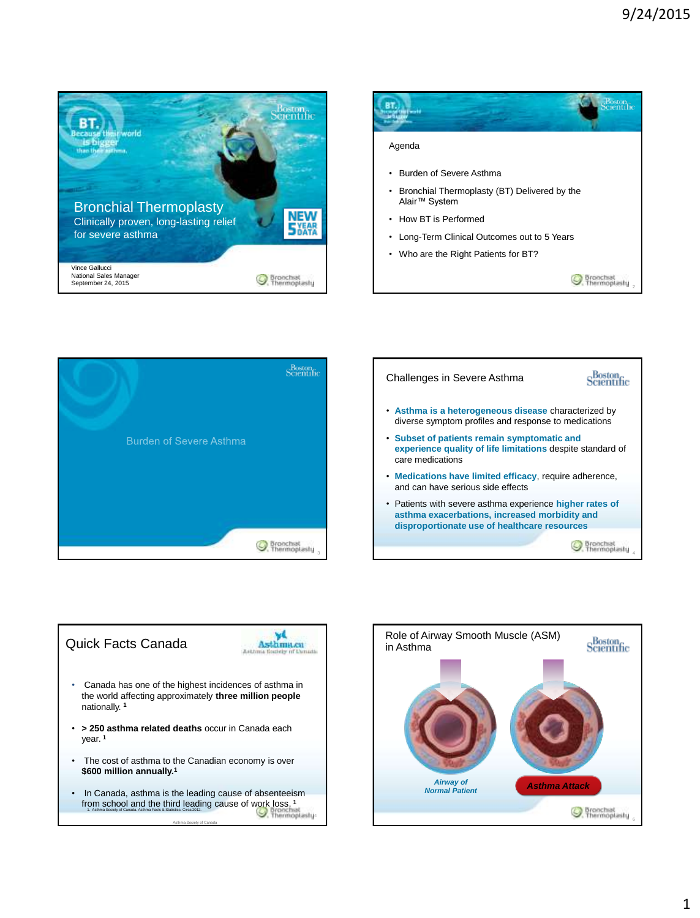









Asthma Society of Canada

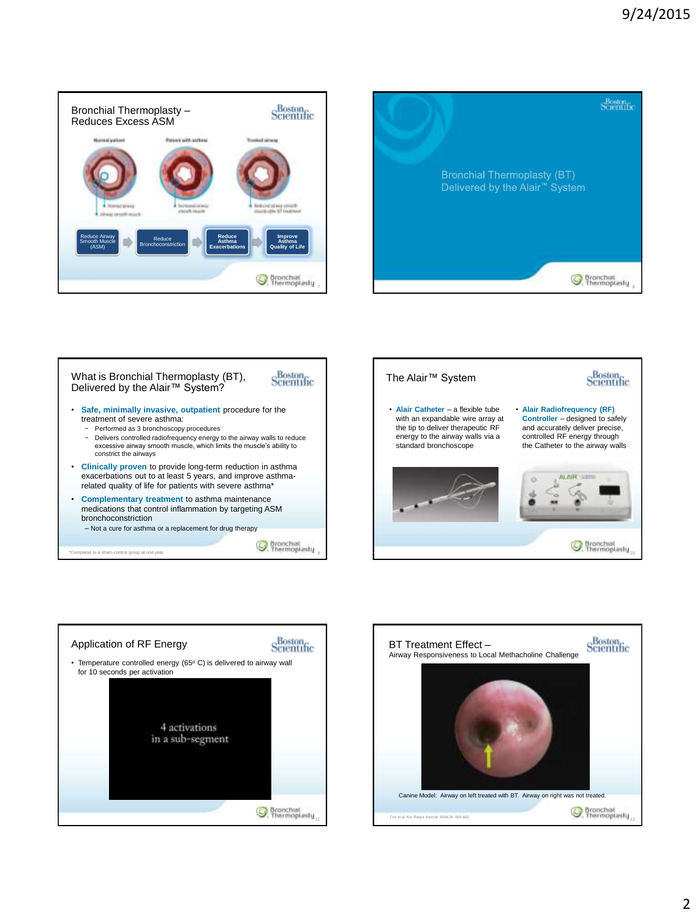









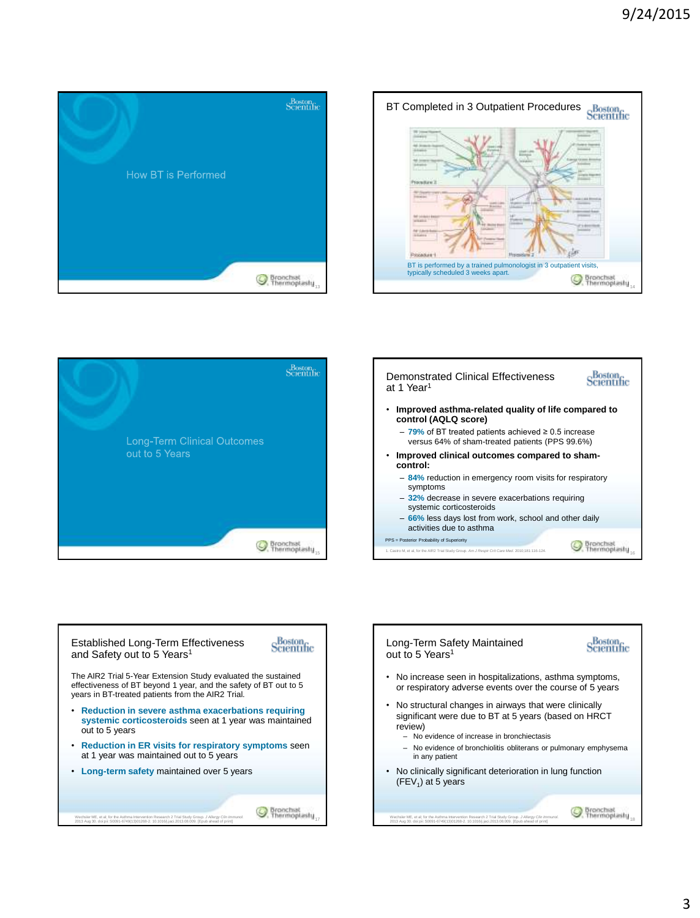